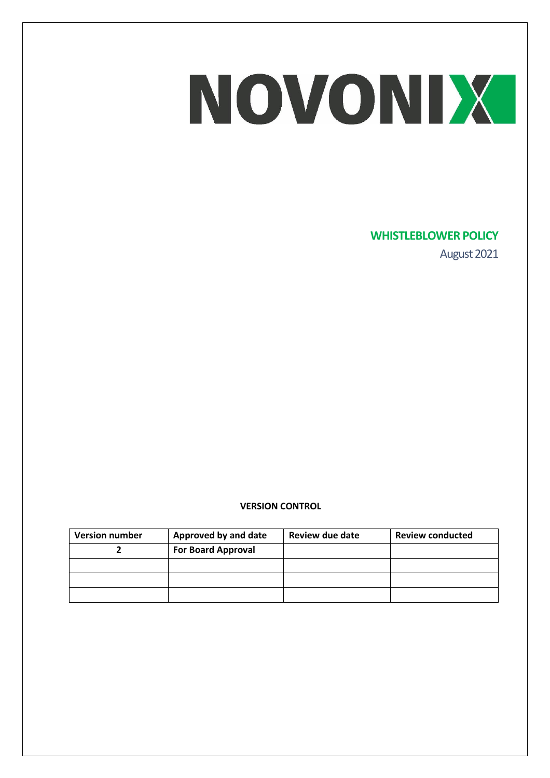### **WHISTLEBLOWER POLICY**

August 2021

### **VERSION CONTROL**

| <b>Version number</b> | Approved by and date      | Review due date | <b>Review conducted</b> |
|-----------------------|---------------------------|-----------------|-------------------------|
|                       | <b>For Board Approval</b> |                 |                         |
|                       |                           |                 |                         |
|                       |                           |                 |                         |
|                       |                           |                 |                         |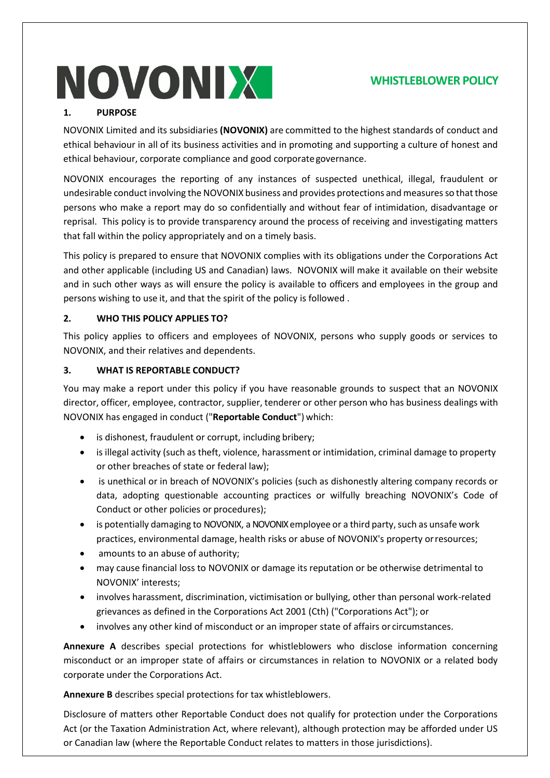### **WHISTLEBLOWER POLICY**

### **1. PURPOSE**

NOVONIX Limited and its subsidiaries **(NOVONIX)** are committed to the highest standards of conduct and ethical behaviour in all of its business activities and in promoting and supporting a culture of honest and ethical behaviour, corporate compliance and good corporategovernance.

NOVONIX encourages the reporting of any instances of suspected unethical, illegal, fraudulent or undesirable conduct involving the NOVONIX business and provides protections and measures so that those persons who make a report may do so confidentially and without fear of intimidation, disadvantage or reprisal. This policy is to provide transparency around the process of receiving and investigating matters that fall within the policy appropriately and on a timely basis.

This policy is prepared to ensure that NOVONIX complies with its obligations under the Corporations Act and other applicable (including US and Canadian) laws. NOVONIX will make it available on their website and in such other ways as will ensure the policy is available to officers and employees in the group and persons wishing to use it, and that the spirit of the policy is followed .

### **2. WHO THIS POLICY APPLIES TO?**

This policy applies to officers and employees of NOVONIX, persons who supply goods or services to NOVONIX, and their relatives and dependents.

### **3. WHAT IS REPORTABLE CONDUCT?**

You may make a report under this policy if you have reasonable grounds to suspect that an NOVONIX director, officer, employee, contractor, supplier, tenderer or other person who has business dealings with NOVONIX has engaged in conduct ("**Reportable Conduct**") which:

- is dishonest, fraudulent or corrupt, including bribery;
- is illegal activity (such as theft, violence, harassment or intimidation, criminal damage to property or other breaches of state or federal law);
- is unethical or in breach of NOVONIX's policies (such as dishonestly altering company records or data, adopting questionable accounting practices or wilfully breaching NOVONIX's Code of Conduct or other policies or procedures);
- is potentially damaging to NOVONIX, a NOVONIX employee or a third party, such as unsafe work practices, environmental damage, health risks or abuse of NOVONIX's property orresources;
- amounts to an abuse of authority;
- may cause financial loss to NOVONIX or damage its reputation or be otherwise detrimental to NOVONIX' interests;
- involves harassment, discrimination, victimisation or bullying, other than personal work-related grievances as defined in the Corporations Act 2001 (Cth) ("Corporations Act"); or
- involves any other kind of misconduct or an improper state of affairs or circumstances.

**Annexure A** describes special protections for whistleblowers who disclose information concerning misconduct or an improper state of affairs or circumstances in relation to NOVONIX or a related body corporate under the Corporations Act.

**Annexure B** describes special protections for tax whistleblowers.

Disclosure of matters other Reportable Conduct does not qualify for protection under the Corporations Act (or the Taxation Administration Act, where relevant), although protection may be afforded under US or Canadian law (where the Reportable Conduct relates to matters in those jurisdictions).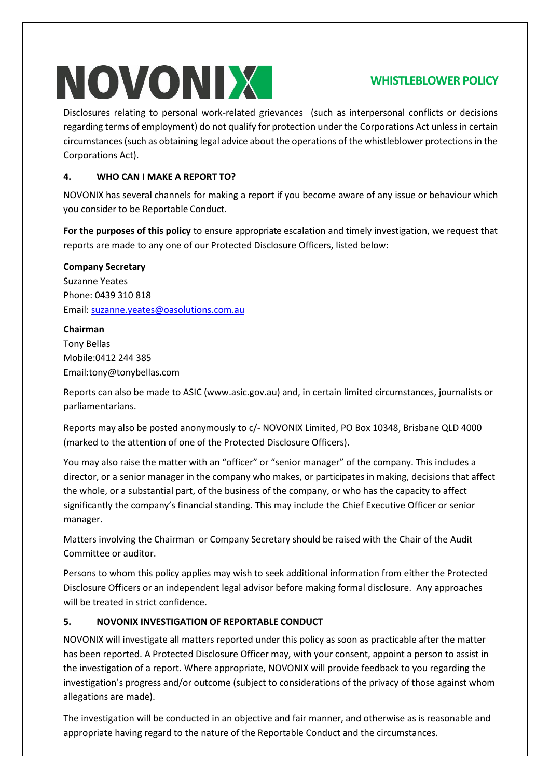### **WHISTLEBLOWER POLICY**

Disclosures relating to personal work-related grievances (such as interpersonal conflicts or decisions regarding terms of employment) do not qualify for protection under the Corporations Act unless in certain circumstances (such as obtaining legal advice about the operations of the whistleblower protections in the Corporations Act).

### **4. WHO CAN I MAKE A REPORT TO?**

NOVONIX has several channels for making a report if you become aware of any issue or behaviour which you consider to be Reportable Conduct.

**For the purposes of this policy** to ensure appropriate escalation and timely investigation, we request that reports are made to any one of our Protected Disclosure Officers, listed below:

### **Company Secretary**

Suzanne Yeates Phone: 0439 310 818 Email[: suzanne.yeates@oasolutions.com.au](mailto:suzanne.yeates@oasolutions.com.au)

### **Chairman**

Tony Bellas Mobile:0412 244 385 Email:tony@tonybellas.com

Reports can also be made to ASIC (www.asic.gov.au) and, in certain limited circumstances, journalists or parliamentarians.

Reports may also be posted anonymously to c/- NOVONIX Limited, PO Box 10348, Brisbane QLD 4000 (marked to the attention of one of the Protected Disclosure Officers).

You may also raise the matter with an "officer" or "senior manager" of the company. This includes a director, or a senior manager in the company who makes, or participates in making, decisions that affect the whole, or a substantial part, of the business of the company, or who has the capacity to affect significantly the company's financial standing. This may include the Chief Executive Officer or senior manager.

Matters involving the Chairman or Company Secretary should be raised with the Chair of the Audit Committee or auditor.

Persons to whom this policy applies may wish to seek additional information from either the Protected Disclosure Officers or an independent legal advisor before making formal disclosure. Any approaches will be treated in strict confidence.

### **5. NOVONIX INVESTIGATION OF REPORTABLE CONDUCT**

NOVONIX will investigate all matters reported under this policy as soon as practicable after the matter has been reported. A Protected Disclosure Officer may, with your consent, appoint a person to assist in the investigation of a report. Where appropriate, NOVONIX will provide feedback to you regarding the investigation's progress and/or outcome (subject to considerations of the privacy of those against whom allegations are made).

The investigation will be conducted in an objective and fair manner, and otherwise as is reasonable and appropriate having regard to the nature of the Reportable Conduct and the circumstances.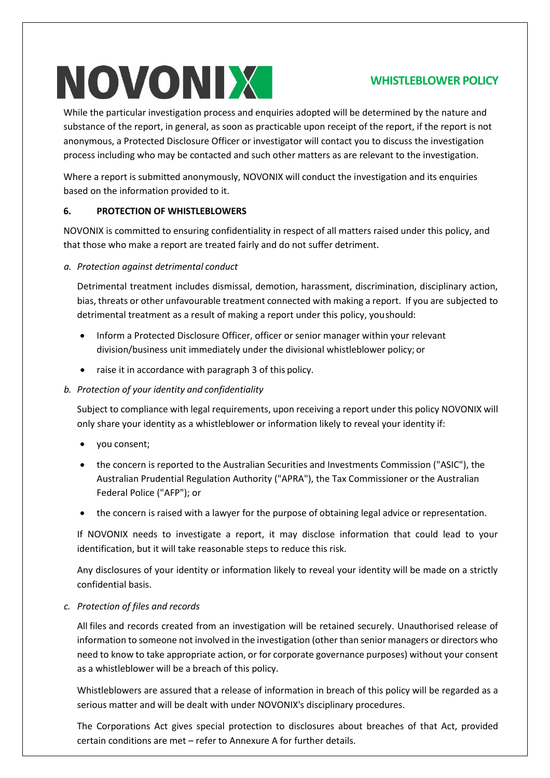### **WHISTLEBLOWER POLICY**

While the particular investigation process and enquiries adopted will be determined by the nature and substance of the report, in general, as soon as practicable upon receipt of the report, if the report is not anonymous, a Protected Disclosure Officer or investigator will contact you to discuss the investigation process including who may be contacted and such other matters as are relevant to the investigation.

Where a report is submitted anonymously, NOVONIX will conduct the investigation and its enquiries based on the information provided to it.

### **6. PROTECTION OF WHISTLEBLOWERS**

NOVONIX is committed to ensuring confidentiality in respect of all matters raised under this policy, and that those who make a report are treated fairly and do not suffer detriment.

*a. Protection against detrimental conduct*

Detrimental treatment includes dismissal, demotion, harassment, discrimination, disciplinary action, bias, threats or other unfavourable treatment connected with making a report. If you are subjected to detrimental treatment as a result of making a report under this policy, youshould:

- Inform a Protected Disclosure Officer, officer or senior manager within your relevant division/business unit immediately under the divisional whistleblower policy; or
- raise it in accordance with paragraph 3 of this policy.

### *b. Protection of your identity and confidentiality*

Subject to compliance with legal requirements, upon receiving a report under this policy NOVONIX will only share your identity as a whistleblower or information likely to reveal your identity if:

- you consent;
- the concern is reported to the Australian Securities and Investments Commission ("ASIC"), the Australian Prudential Regulation Authority ("APRA"), the Tax Commissioner or the Australian Federal Police ("AFP"); or
- the concern is raised with a lawyer for the purpose of obtaining legal advice or representation.

If NOVONIX needs to investigate a report, it may disclose information that could lead to your identification, but it will take reasonable steps to reduce this risk.

Any disclosures of your identity or information likely to reveal your identity will be made on a strictly confidential basis.

### *c. Protection of files and records*

All files and records created from an investigation will be retained securely. Unauthorised release of information to someone not involved in the investigation (other than senior managers or directors who need to know to take appropriate action, or for corporate governance purposes) without your consent as a whistleblower will be a breach of this policy.

Whistleblowers are assured that a release of information in breach of this policy will be regarded as a serious matter and will be dealt with under NOVONIX's disciplinary procedures.

The Corporations Act gives special protection to disclosures about breaches of that Act, provided certain conditions are met – refer to Annexure A for further details.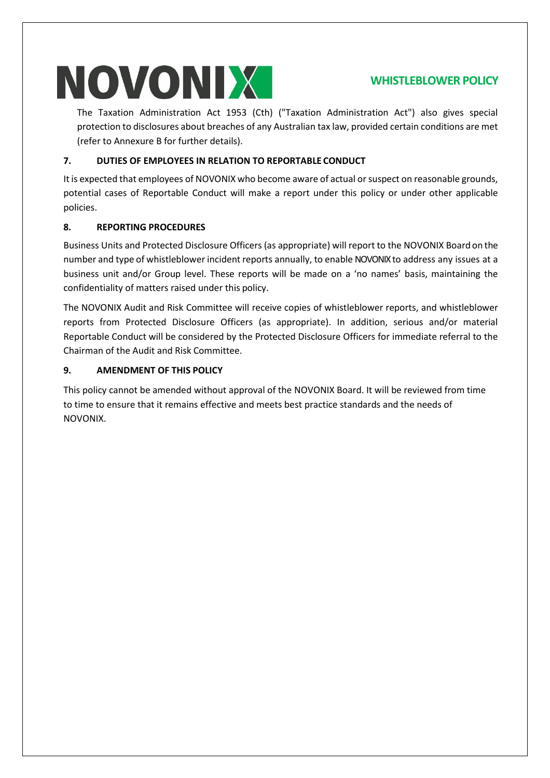### **WHISTLEBLOWER POLICY**

The Taxation Administration Act 1953 (Cth) ("Taxation Administration Act") also gives special protection to disclosures about breaches of any Australian tax law, provided certain conditions are met (refer to Annexure B for further details).

### **7. DUTIES OF EMPLOYEES IN RELATION TO REPORTABLE CONDUCT**

It is expected that employees of NOVONIX who become aware of actual or suspect on reasonable grounds, potential cases of Reportable Conduct will make a report under this policy or under other applicable policies.

### **8. REPORTING PROCEDURES**

Business Units and Protected Disclosure Officers (as appropriate) will report to the NOVONIX Board on the number and type of whistleblower incident reports annually, to enable NOVONIXto address any issues at a business unit and/or Group level. These reports will be made on a 'no names' basis, maintaining the confidentiality of matters raised under this policy.

The NOVONIX Audit and Risk Committee will receive copies of whistleblower reports, and whistleblower reports from Protected Disclosure Officers (as appropriate). In addition, serious and/or material Reportable Conduct will be considered by the Protected Disclosure Officers for immediate referral to the Chairman of the Audit and Risk Committee.

### **9. AMENDMENT OF THIS POLICY**

This policy cannot be amended without approval of the NOVONIX Board. It will be reviewed from time to time to ensure that it remains effective and meets best practice standards and the needs of NOVONIX.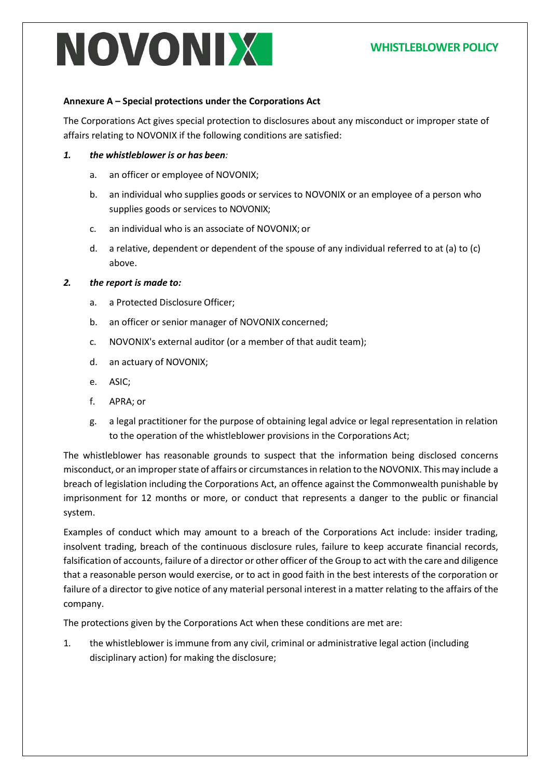### **WHISTLEBLOWER POLICY**

#### **Annexure A – Special protections under the Corporations Act**

The Corporations Act gives special protection to disclosures about any misconduct or improper state of affairs relating to NOVONIX if the following conditions are satisfied:

- *1. the whistleblower is or has been:*
	- a. an officer or employee of NOVONIX;
	- b. an individual who supplies goods or services to NOVONIX or an employee of a person who supplies goods or services to NOVONIX;
	- c. an individual who is an associate of NOVONIX; or
	- d. a relative, dependent or dependent of the spouse of any individual referred to at (a) to (c) above.

#### *2. the report is made to:*

- a. a Protected Disclosure Officer;
- b. an officer or senior manager of NOVONIX concerned;
- c. NOVONIX's external auditor (or a member of that audit team);
- d. an actuary of NOVONIX;
- e. ASIC;
- f. APRA; or
- g. a legal practitioner for the purpose of obtaining legal advice or legal representation in relation to the operation of the whistleblower provisions in the Corporations Act;

The whistleblower has reasonable grounds to suspect that the information being disclosed concerns misconduct, or an improperstate of affairs or circumstancesin relation to the NOVONIX. Thismay include a breach of legislation including the Corporations Act, an offence against the Commonwealth punishable by imprisonment for 12 months or more, or conduct that represents a danger to the public or financial system.

Examples of conduct which may amount to a breach of the Corporations Act include: insider trading, insolvent trading, breach of the continuous disclosure rules, failure to keep accurate financial records, falsification of accounts, failure of a director or other officer of the Group to act with the care and diligence that a reasonable person would exercise, or to act in good faith in the best interests of the corporation or failure of a director to give notice of any material personal interest in a matter relating to the affairs of the company.

The protections given by the Corporations Act when these conditions are met are:

1. the whistleblower is immune from any civil, criminal or administrative legal action (including disciplinary action) for making the disclosure;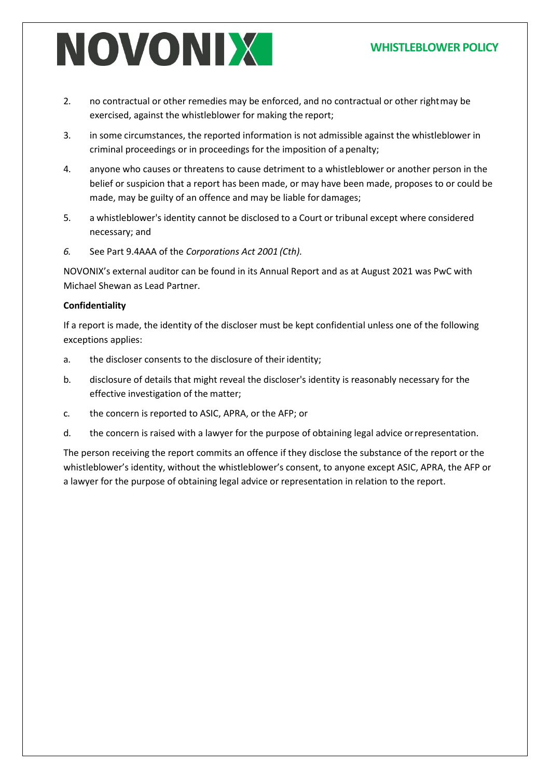### **WHISTLEBLOWER POLICY**

- 2. no contractual or other remedies may be enforced, and no contractual or other rightmay be exercised, against the whistleblower for making the report;
- 3. in some circumstances, the reported information is not admissible against the whistleblower in criminal proceedings or in proceedings for the imposition of a penalty;
- 4. anyone who causes or threatens to cause detriment to a whistleblower or another person in the belief or suspicion that a report has been made, or may have been made, proposes to or could be made, may be guilty of an offence and may be liable for damages;
- 5. a whistleblower's identity cannot be disclosed to a Court or tribunal except where considered necessary; and
- *6.* See Part 9.4AAA of the *Corporations Act 2001 (Cth).*

NOVONIX's external auditor can be found in its Annual Report and as at August 2021 was PwC with Michael Shewan as Lead Partner.

### **Confidentiality**

If a report is made, the identity of the discloser must be kept confidential unless one of the following exceptions applies:

- a. the discloser consents to the disclosure of their identity;
- b. disclosure of details that might reveal the discloser's identity is reasonably necessary for the effective investigation of the matter;
- c. the concern is reported to ASIC, APRA, or the AFP; or
- d. the concern is raised with a lawyer for the purpose of obtaining legal advice orrepresentation.

The person receiving the report commits an offence if they disclose the substance of the report or the whistleblower's identity, without the whistleblower's consent, to anyone except ASIC, APRA, the AFP or a lawyer for the purpose of obtaining legal advice or representation in relation to the report.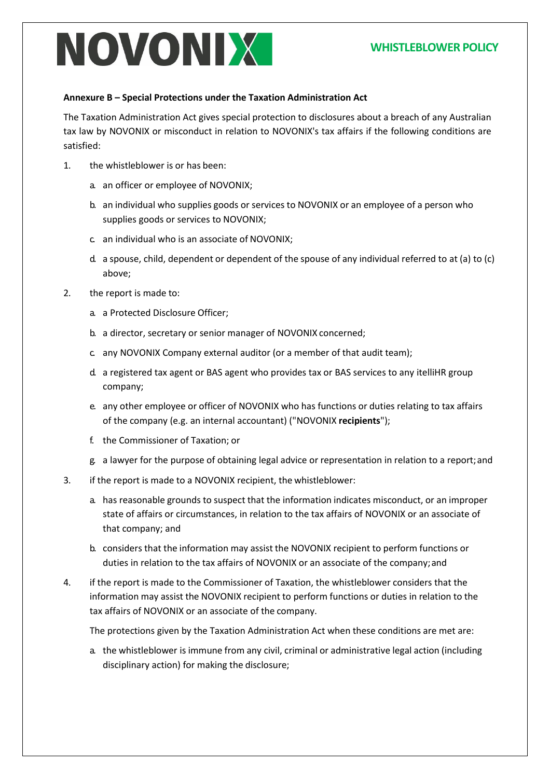### **WHISTLEBLOWER POLICY**

#### **Annexure B – Special Protections under the Taxation Administration Act**

The Taxation Administration Act gives special protection to disclosures about a breach of any Australian tax law by NOVONIX or misconduct in relation to NOVONIX's tax affairs if the following conditions are satisfied:

- 1. the whistleblower is or has been:
	- a. an officer or employee of NOVONIX;
	- b. an individual who supplies goods or services to NOVONIX or an employee of a person who supplies goods or services to NOVONIX;
	- c. an individual who is an associate of NOVONIX;
	- d. a spouse, child, dependent or dependent of the spouse of any individual referred to at (a) to (c) above;
- 2. the report is made to:
	- a. a Protected Disclosure Officer;
	- b. a director, secretary or senior manager of NOVONIX concerned;
	- c. any NOVONIX Company external auditor (or a member of that audit team);
	- d. a registered tax agent or BAS agent who provides tax or BAS services to any itelliHR group company;
	- e. any other employee or officer of NOVONIX who has functions or duties relating to tax affairs of the company (e.g. an internal accountant) ("NOVONIX **recipients**");
	- f. the Commissioner of Taxation; or
	- g. a lawyer for the purpose of obtaining legal advice or representation in relation to a report;and
- 3. if the report is made to a NOVONIX recipient, the whistleblower:
	- a. has reasonable grounds to suspect that the information indicates misconduct, or an improper state of affairs or circumstances, in relation to the tax affairs of NOVONIX or an associate of that company; and
	- b. considers that the information may assist the NOVONIX recipient to perform functions or duties in relation to the tax affairs of NOVONIX or an associate of the company; and
- 4. if the report is made to the Commissioner of Taxation, the whistleblower considers that the information may assist the NOVONIX recipient to perform functions or duties in relation to the tax affairs of NOVONIX or an associate of the company.

The protections given by the Taxation Administration Act when these conditions are met are:

a. the whistleblower is immune from any civil, criminal or administrative legal action (including disciplinary action) for making the disclosure;